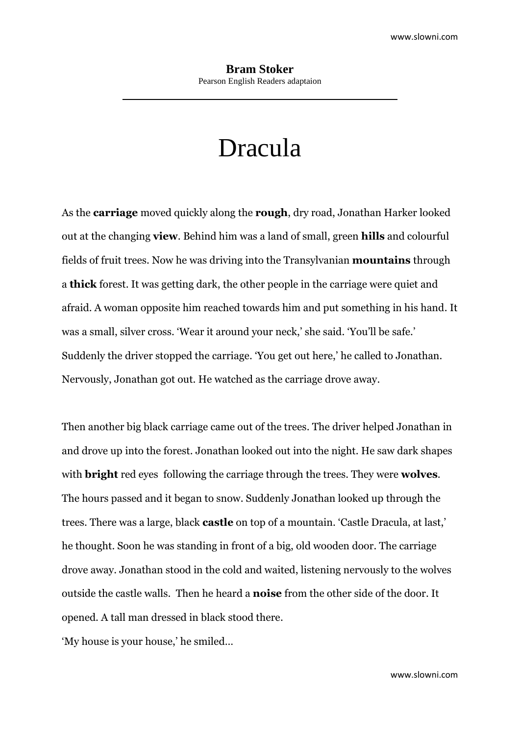# Dracula

As the **carriage** moved quickly along the **rough**, dry road, Jonathan Harker looked out at the changing **view**. Behind him was a land of small, green **hills** and colourful fields of fruit trees. Now he was driving into the Transylvanian **mountains** through a **thick** forest. It was getting dark, the other people in the carriage were quiet and afraid. A woman opposite him reached towards him and put something in his hand. It was a small, silver cross. 'Wear it around your neck,' she said. 'You'll be safe.' Suddenly the driver stopped the carriage. 'You get out here,' he called to Jonathan. Nervously, Jonathan got out. He watched as the carriage drove away.

Then another big black carriage came out of the trees. The driver helped Jonathan in and drove up into the forest. Jonathan looked out into the night. He saw dark shapes with **bright** red eyes following the carriage through the trees. They were **wolves**. The hours passed and it began to snow. Suddenly Jonathan looked up through the trees. There was a large, black **castle** on top of a mountain. 'Castle Dracula, at last,' he thought. Soon he was standing in front of a big, old wooden door. The carriage drove away. Jonathan stood in the cold and waited, listening nervously to the wolves outside the castle walls. Then he heard a **noise** from the other side of the door. It opened. A tall man dressed in black stood there.

'My house is your house,' he smiled…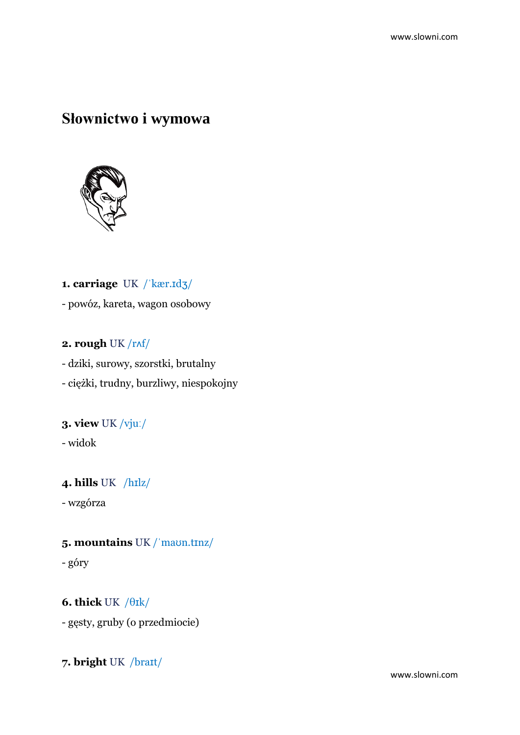## **Słownictwo i wymowa**



**1. carriage** UK /ˈkær.ɪdʒ/ - powóz, kareta, wagon osobowy

#### **2. rough** UK /rʌf/

- dziki, surowy, szorstki, brutalny - ciężki, trudny, burzliwy, niespokojny

## **3. view** UK /vjuː/

- widok

### **4. hills** UK /hɪlz/

- wzgórza

#### **5. mountains** UK /ˈmaʊn.tɪnz/

- góry

**6. thick** UK /θɪk/ - gęsty, gruby (o przedmiocie)

**7. bright** UK /braɪt/